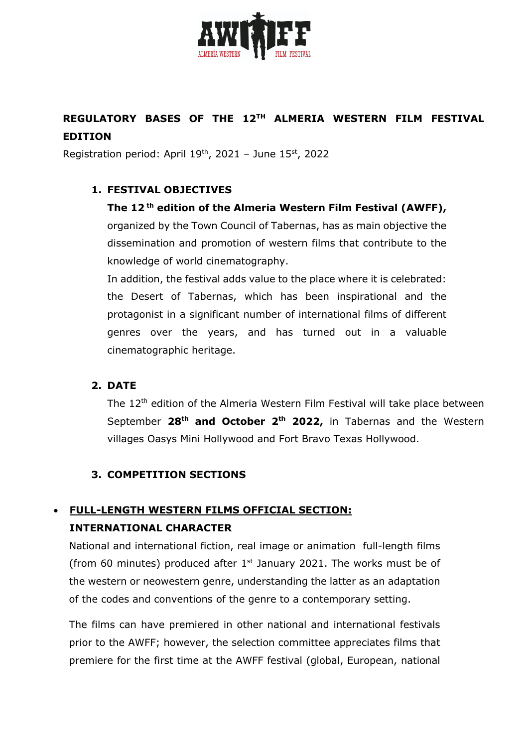

# **REGULATORY BASES OF THE 12TH ALMERIA WESTERN FILM FESTIVAL EDITION**

Registration period: April  $19<sup>th</sup>$ , 2021 – June  $15<sup>st</sup>$ , 2022

#### **1. FESTIVAL OBJECTIVES**

**The 12 th edition of the Almeria Western Film Festival (AWFF),** organized by the Town Council of Tabernas, has as main objective the dissemination and promotion of western films that contribute to the knowledge of world cinematography.

In addition, the festival adds value to the place where it is celebrated: the Desert of Tabernas, which has been inspirational and the protagonist in a significant number of international films of different genres over the years, and has turned out in a valuable cinematographic heritage.

#### **2. DATE**

The 12<sup>th</sup> edition of the Almeria Western Film Festival will take place between September **28th and October 2th 2022,** in Tabernas and the Western villages Oasys Mini Hollywood and Fort Bravo Texas Hollywood.

#### **3. COMPETITION SECTIONS**

# • **FULL-LENGTH WESTERN FILMS OFFICIAL SECTION: INTERNATIONAL CHARACTER**

National and international fiction, real image or animation full-length films (from 60 minutes) produced after  $1<sup>st</sup>$  January 2021. The works must be of the western or neowestern genre, understanding the latter as an adaptation of the codes and conventions of the genre to a contemporary setting.

The films can have premiered in other national and international festivals prior to the AWFF; however, the selection committee appreciates films that premiere for the first time at the AWFF festival (global, European, national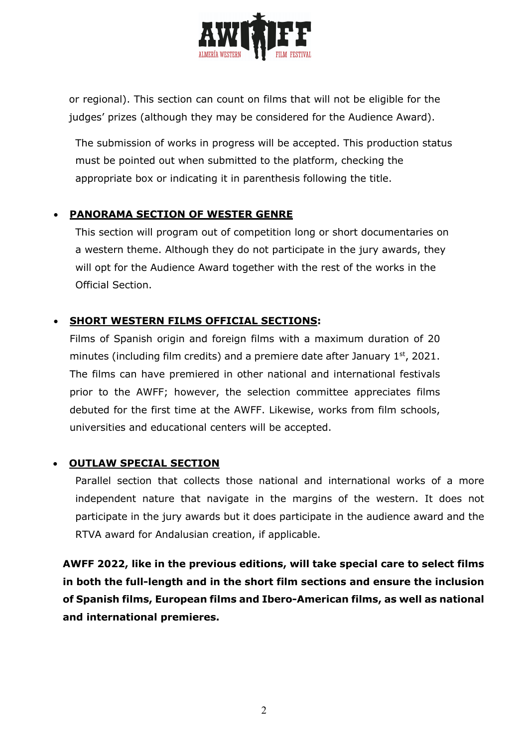

or regional). This section can count on films that will not be eligible for the judges' prizes (although they may be considered for the Audience Award).

The submission of works in progress will be accepted. This production status must be pointed out when submitted to the platform, checking the appropriate box or indicating it in parenthesis following the title.

## • **PANORAMA SECTION OF WESTER GENRE**

This section will program out of competition long or short documentaries on a western theme. Although they do not participate in the jury awards, they will opt for the Audience Award together with the rest of the works in the Official Section.

## • **SHORT WESTERN FILMS OFFICIAL SECTIONS:**

Films of Spanish origin and foreign films with a maximum duration of 20 minutes (including film credits) and a premiere date after January  $1<sup>st</sup>$ , 2021. The films can have premiered in other national and international festivals prior to the AWFF; however, the selection committee appreciates films debuted for the first time at the AWFF. Likewise, works from film schools, universities and educational centers will be accepted.

#### • **OUTLAW SPECIAL SECTION**

Parallel section that collects those national and international works of a more independent nature that navigate in the margins of the western. It does not participate in the jury awards but it does participate in the audience award and the RTVA award for Andalusian creation, if applicable.

**AWFF 2022, like in the previous editions, will take special care to select films in both the full-length and in the short film sections and ensure the inclusion of Spanish films, European films and Ibero-American films, as well as national and international premieres.**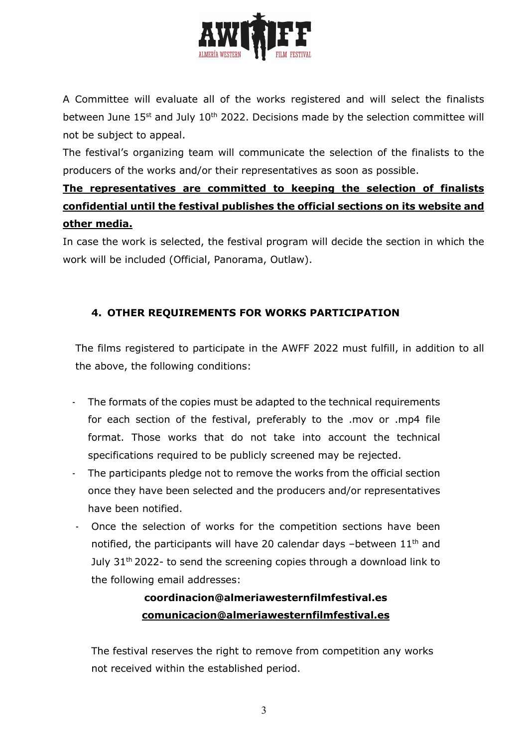

A Committee will evaluate all of the works registered and will select the finalists between June 15<sup>st</sup> and July 10<sup>th</sup> 2022. Decisions made by the selection committee will not be subject to appeal.

The festival's organizing team will communicate the selection of the finalists to the producers of the works and/or their representatives as soon as possible.

# **The representatives are committed to keeping the selection of finalists confidential until the festival publishes the official sections on its website and other media.**

In case the work is selected, the festival program will decide the section in which the work will be included (Official, Panorama, Outlaw).

## **4. OTHER REQUIREMENTS FOR WORKS PARTICIPATION**

The films registered to participate in the AWFF 2022 must fulfill, in addition to all the above, the following conditions:

- The formats of the copies must be adapted to the technical requirements for each section of the festival, preferably to the .mov or .mp4 file format. Those works that do not take into account the technical specifications required to be publicly screened may be rejected.
- The participants pledge not to remove the works from the official section once they have been selected and the producers and/or representatives have been notified.
- Once the selection of works for the competition sections have been notified, the participants will have 20 calendar days -between  $11<sup>th</sup>$  and July 31<sup>th</sup> 2022- to send the screening copies through a download link to the following email addresses:

# **coordinacion@almeriawesternfilmfestival.es comunicacion@almeriawesternfilmfestival.es**

The festival reserves the right to remove from competition any works not received within the established period.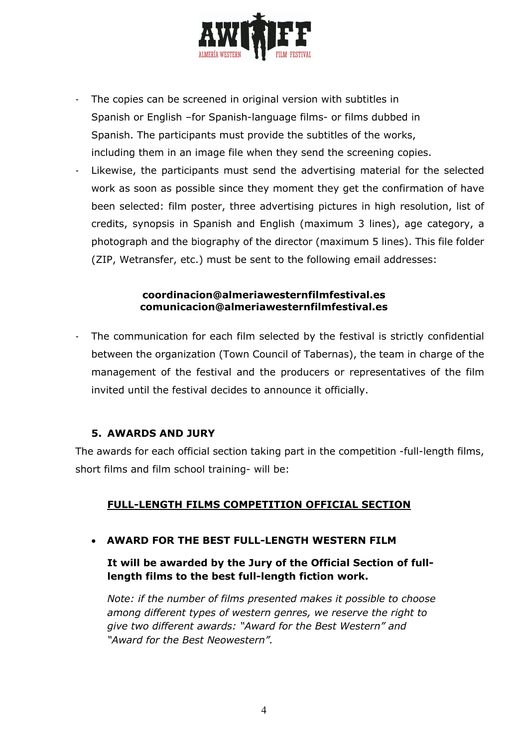

- The copies can be screened in original version with subtitles in Spanish or English –for Spanish-language films- or films dubbed in Spanish. The participants must provide the subtitles of the works, including them in an image file when they send the screening copies.
- Likewise, the participants must send the advertising material for the selected work as soon as possible since they moment they get the confirmation of have been selected: film poster, three advertising pictures in high resolution, list of credits, synopsis in Spanish and English (maximum 3 lines), age category, a photograph and the biography of the director (maximum 5 lines). This file folder (ZIP, Wetransfer, etc.) must be sent to the following email addresses:

#### **coordinacion@almeriawesternfilmfestival.es comunicacion@almeriawesternfilmfestival.es**

The communication for each film selected by the festival is strictly confidential between the organization (Town Council of Tabernas), the team in charge of the management of the festival and the producers or representatives of the film invited until the festival decides to announce it officially.

#### **5. AWARDS AND JURY**

The awards for each official section taking part in the competition -full-length films, short films and film school training- will be:

#### **FULL-LENGTH FILMS COMPETITION OFFICIAL SECTION**

• **AWARD FOR THE BEST FULL-LENGTH WESTERN FILM**

#### **It will be awarded by the Jury of the Official Section of fulllength films to the best full-length fiction work.**

*Note: if the number of films presented makes it possible to choose among different types of western genres, we reserve the right to give two different awards: "Award for the Best Western" and "Award for the Best Neowestern".*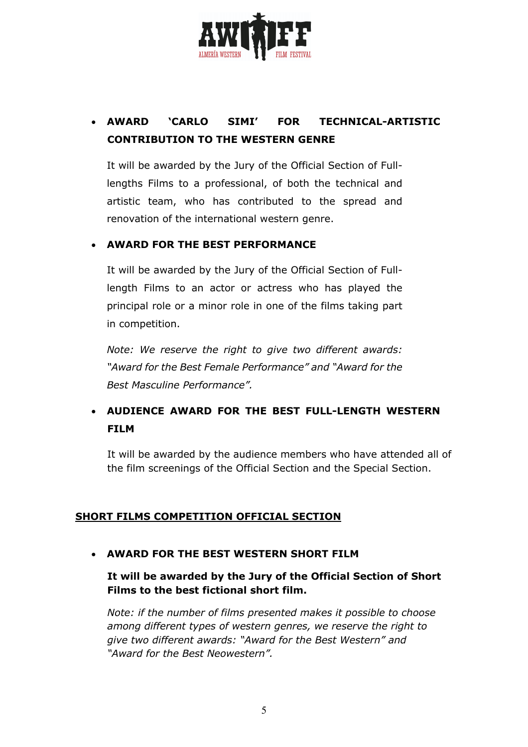

# • **AWARD 'CARLO SIMI' FOR TECHNICAL-ARTISTIC CONTRIBUTION TO THE WESTERN GENRE**

It will be awarded by the Jury of the Official Section of Fulllengths Films to a professional, of both the technical and artistic team, who has contributed to the spread and renovation of the international western genre.

#### • **AWARD FOR THE BEST PERFORMANCE**

It will be awarded by the Jury of the Official Section of Fulllength Films to an actor or actress who has played the principal role or a minor role in one of the films taking part in competition.

*Note: We reserve the right to give two different awards: "Award for the Best Female Performance" and "Award for the Best Masculine Performance".*

# • **AUDIENCE AWARD FOR THE BEST FULL-LENGTH WESTERN FILM**

It will be awarded by the audience members who have attended all of the film screenings of the Official Section and the Special Section.

#### **SHORT FILMS COMPETITION OFFICIAL SECTION**

#### • **AWARD FOR THE BEST WESTERN SHORT FILM**

#### **It will be awarded by the Jury of the Official Section of Short Films to the best fictional short film.**

*Note: if the number of films presented makes it possible to choose among different types of western genres, we reserve the right to give two different awards: "Award for the Best Western" and "Award for the Best Neowestern".*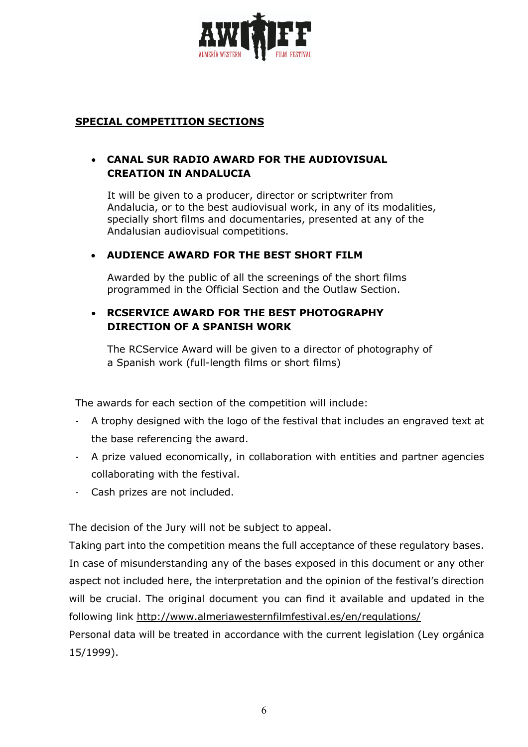

#### **SPECIAL COMPETITION SECTIONS**

## • **CANAL SUR RADIO AWARD FOR THE AUDIOVISUAL CREATION IN ANDALUCIA**

It will be given to a producer, director or scriptwriter from Andalucia, or to the best audiovisual work, in any of its modalities, specially short films and documentaries, presented at any of the Andalusian audiovisual competitions.

#### • **AUDIENCE AWARD FOR THE BEST SHORT FILM**

Awarded by the public of all the screenings of the short films programmed in the Official Section and the Outlaw Section.

### • **RCSERVICE AWARD FOR THE BEST PHOTOGRAPHY DIRECTION OF A SPANISH WORK**

The RCService Award will be given to a director of photography of a Spanish work (full-length films or short films)

The awards for each section of the competition will include:

- A trophy designed with the logo of the festival that includes an engraved text at the base referencing the award.
- A prize valued economically, in collaboration with entities and partner agencies collaborating with the festival.
- Cash prizes are not included.

The decision of the Jury will not be subject to appeal.

Taking part into the competition means the full acceptance of these regulatory bases. In case of misunderstanding any of the bases exposed in this document or any other aspect not included here, the interpretation and the opinion of the festival's direction will be crucial. The original document you can find it available and updated in the following link http://www.almeriawesternfilmfestival.es/en/regulations/

Personal data will be treated in accordance with the current legislation (Ley orgánica 15/1999).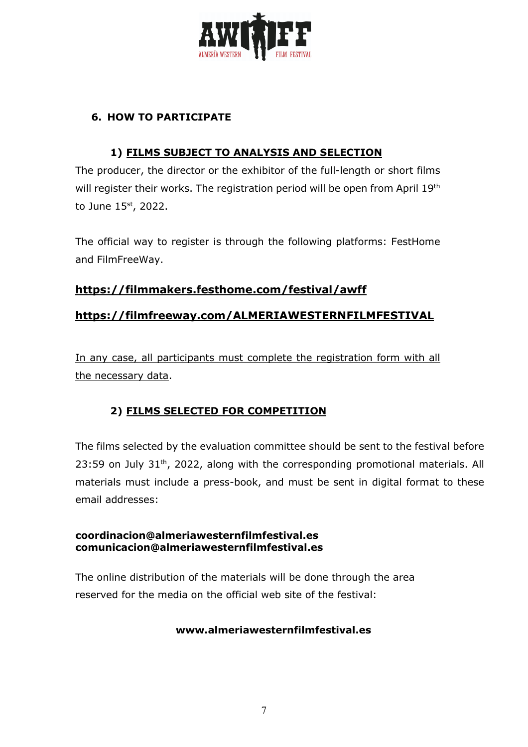

## **6. HOW TO PARTICIPATE**

### **1) FILMS SUBJECT TO ANALYSIS AND SELECTION**

The producer, the director or the exhibitor of the full-length or short films will register their works. The registration period will be open from April 19<sup>th</sup> to June 15st, 2022.

The official way to register is through the following platforms: FestHome and FilmFreeWay.

## **https://filmmakers.festhome.com/festival/awff**

## **https://filmfreeway.com/ALMERIAWESTERNFILMFESTIVAL**

In any case, all participants must complete the registration form with all the necessary data.

## **2) FILMS SELECTED FOR COMPETITION**

The films selected by the evaluation committee should be sent to the festival before  $23:59$  on July  $31<sup>th</sup>$ , 2022, along with the corresponding promotional materials. All materials must include a press-book, and must be sent in digital format to these email addresses:

#### **coordinacion@almeriawesternfilmfestival.es comunicacion@almeriawesternfilmfestival.es**

The online distribution of the materials will be done through the area reserved for the media on the official web site of the festival:

#### **www.almeriawesternfilmfestival.es**